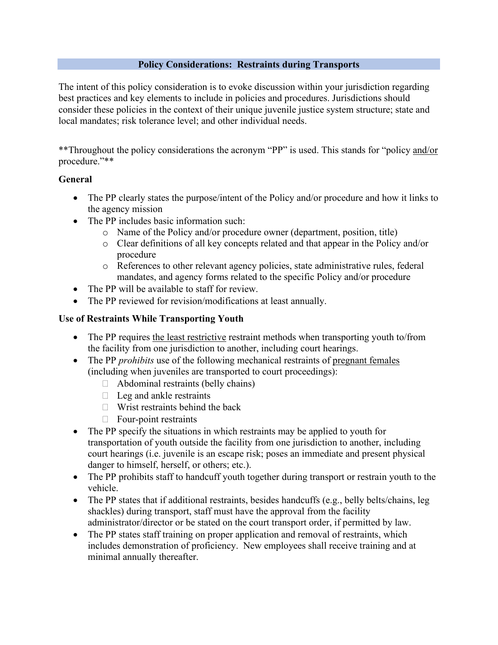## **Policy Considerations: Restraints during Transports**

The intent of this policy consideration is to evoke discussion within your jurisdiction regarding best practices and key elements to include in policies and procedures. Jurisdictions should consider these policies in the context of their unique juvenile justice system structure; state and local mandates; risk tolerance level; and other individual needs.

\*\*Throughout the policy considerations the acronym "PP" is used. This stands for "policy and/or procedure."\*\*

## **General**

- The PP clearly states the purpose/intent of the Policy and/or procedure and how it links to the agency mission
- The PP includes basic information such:
	- o Name of the Policy and/or procedure owner (department, position, title)
	- o Clear definitions of all key concepts related and that appear in the Policy and/or procedure
	- o References to other relevant agency policies, state administrative rules, federal mandates, and agency forms related to the specific Policy and/or procedure
- The PP will be available to staff for review.
- The PP reviewed for revision/modifications at least annually.

## **Use of Restraints While Transporting Youth**

- The PP requires the least restrictive restraint methods when transporting youth to/from the facility from one jurisdiction to another, including court hearings.
- The PP *prohibits* use of the following mechanical restraints of pregnant females (including when juveniles are transported to court proceedings):
	- $\Box$  Abdominal restraints (belly chains)
	- $\Box$  Leg and ankle restraints
	- $\Box$  Wrist restraints behind the back
	- $\Box$  Four-point restraints
- The PP specify the situations in which restraints may be applied to youth for transportation of youth outside the facility from one jurisdiction to another, including court hearings (i.e. juvenile is an escape risk; poses an immediate and present physical danger to himself, herself, or others; etc.).
- The PP prohibits staff to handcuff youth together during transport or restrain youth to the vehicle.
- The PP states that if additional restraints, besides handcuffs (e.g., belly belts/chains, leg shackles) during transport, staff must have the approval from the facility administrator/director or be stated on the court transport order, if permitted by law.
- The PP states staff training on proper application and removal of restraints, which includes demonstration of proficiency. New employees shall receive training and at minimal annually thereafter.